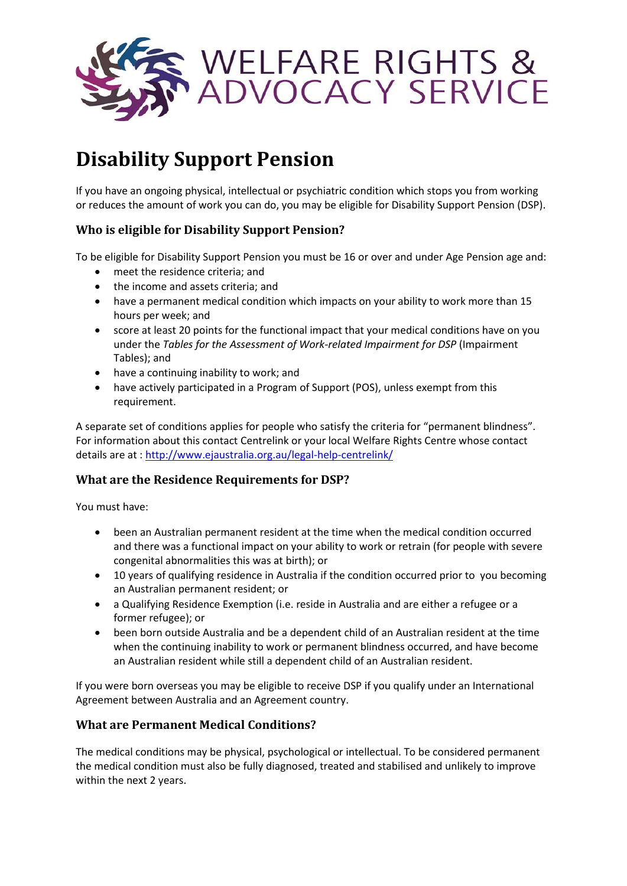

# **Disability Support Pension**

If you have an ongoing physical, intellectual or psychiatric condition which stops you from working or reduces the amount of work you can do, you may be eligible for Disability Support Pension (DSP).

# **Who is eligible for Disability Support Pension?**

To be eligible for Disability Support Pension you must be 16 or over and under Age Pension age and:

- meet the residence criteria; and
- the income and assets criteria; and
- have a permanent medical condition which impacts on your ability to work more than 15 hours per week; and
- score at least 20 points for the functional impact that your medical conditions have on you under the *Tables for the Assessment of Work-related Impairment for DSP* (Impairment Tables); and
- have a continuing inability to work; and
- have actively participated in a Program of Support (POS), unless exempt from this requirement.

A separate set of conditions applies for people who satisfy the criteria for "permanent blindness". For information about this contact Centrelink or your local Welfare Rights Centre whose contact details are at : <http://www.ejaustralia.org.au/legal-help-centrelink/>

## **What are the Residence Requirements for DSP?**

You must have:

- been an Australian permanent resident at the time when the medical condition occurred and there was a functional impact on your ability to work or retrain (for people with severe congenital abnormalities this was at birth); or
- 10 years of qualifying residence in Australia if the condition occurred prior to you becoming an Australian permanent resident; or
- a Qualifying Residence Exemption (i.e. reside in Australia and are either a refugee or a former refugee); or
- been born outside Australia and be a dependent child of an Australian resident at the time when the continuing inability to work or permanent blindness occurred, and have become an Australian resident while still a dependent child of an Australian resident.

If you were born overseas you may be eligible to receive DSP if you qualify under an International Agreement between Australia and an Agreement country.

## **What are Permanent Medical Conditions?**

The medical conditions may be physical, psychological or intellectual. To be considered permanent the medical condition must also be fully diagnosed, treated and stabilised and unlikely to improve within the next 2 years.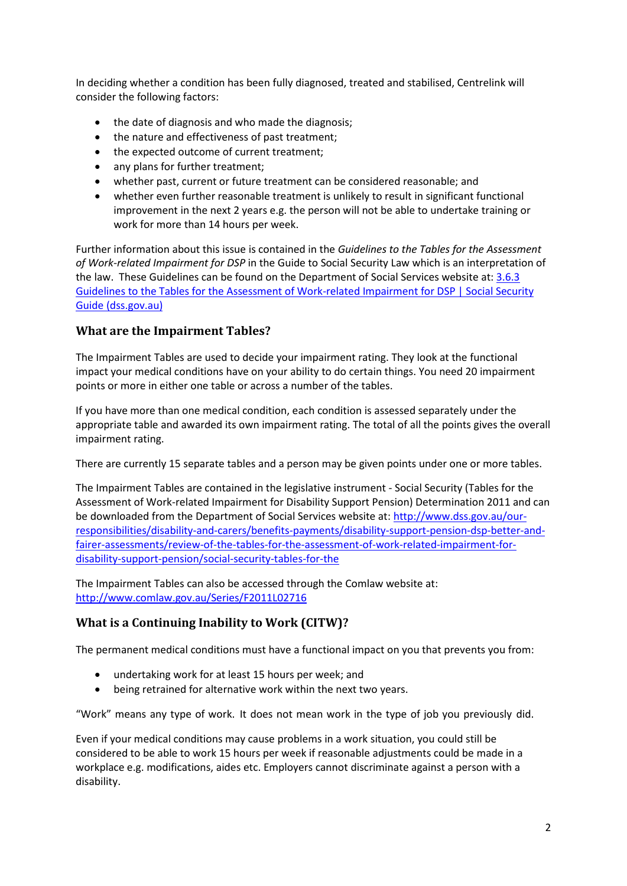In deciding whether a condition has been fully diagnosed, treated and stabilised, Centrelink will consider the following factors:

- the date of diagnosis and who made the diagnosis;
- the nature and effectiveness of past treatment;
- the expected outcome of current treatment;
- any plans for further treatment;
- whether past, current or future treatment can be considered reasonable; and
- whether even further reasonable treatment is unlikely to result in significant functional improvement in the next 2 years e.g. the person will not be able to undertake training or work for more than 14 hours per week.

Further information about this issue is contained in the *Guidelines to the Tables for the Assessment of Work-related Impairment for DSP* in the Guide to Social Security Law which is an interpretation of the law. These Guidelines can be found on the Department of Social Services website at: [3.6.3](https://guides.dss.gov.au/social-security-guide/3/6/3)  [Guidelines to the Tables for the Assessment of Work-related Impairment for DSP | Social Security](https://guides.dss.gov.au/social-security-guide/3/6/3)  [Guide \(dss.gov.au\)](https://guides.dss.gov.au/social-security-guide/3/6/3)

# **What are the Impairment Tables?**

The Impairment Tables are used to decide your impairment rating. They look at the functional impact your medical conditions have on your ability to do certain things. You need 20 impairment points or more in either one table or across a number of the tables.

If you have more than one medical condition, each condition is assessed separately under the appropriate table and awarded its own impairment rating. The total of all the points gives the overall impairment rating.

There are currently 15 separate tables and a person may be given points under one or more tables.

The Impairment Tables are contained in the legislative instrument - Social Security (Tables for the Assessment of Work-related Impairment for Disability Support Pension) Determination 2011 and can be downloaded from the Department of Social Services website at: [http://www.dss.gov.au/our](http://www.dss.gov.au/our-responsibilities/disability-and-carers/benefits-payments/disability-support-pension-dsp-better-and-fairer-assessments/review-of-the-tables-for-the-assessment-of-work-related-impairment-for-disability-support-pension/social-security-tables-for-the)[responsibilities/disability-and-carers/benefits-payments/disability-support-pension-dsp-better-and](http://www.dss.gov.au/our-responsibilities/disability-and-carers/benefits-payments/disability-support-pension-dsp-better-and-fairer-assessments/review-of-the-tables-for-the-assessment-of-work-related-impairment-for-disability-support-pension/social-security-tables-for-the)[fairer-assessments/review-of-the-tables-for-the-assessment-of-work-related-impairment-for](http://www.dss.gov.au/our-responsibilities/disability-and-carers/benefits-payments/disability-support-pension-dsp-better-and-fairer-assessments/review-of-the-tables-for-the-assessment-of-work-related-impairment-for-disability-support-pension/social-security-tables-for-the)[disability-support-pension/social-security-tables-for-the](http://www.dss.gov.au/our-responsibilities/disability-and-carers/benefits-payments/disability-support-pension-dsp-better-and-fairer-assessments/review-of-the-tables-for-the-assessment-of-work-related-impairment-for-disability-support-pension/social-security-tables-for-the)

The Impairment Tables can also be accessed through the Comlaw website at: <http://www.comlaw.gov.au/Series/F2011L02716>

# **What is a Continuing Inability to Work (CITW)?**

The permanent medical conditions must have a functional impact on you that prevents you from:

- undertaking work for at least 15 hours per week; and
- being retrained for alternative work within the next two years.

"Work" means any type of work. It does not mean work in the type of job you previously did.

Even if your medical conditions may cause problems in a work situation, you could still be considered to be able to work 15 hours per week if reasonable adjustments could be made in a workplace e.g. modifications, aides etc. Employers cannot discriminate against a person with a disability.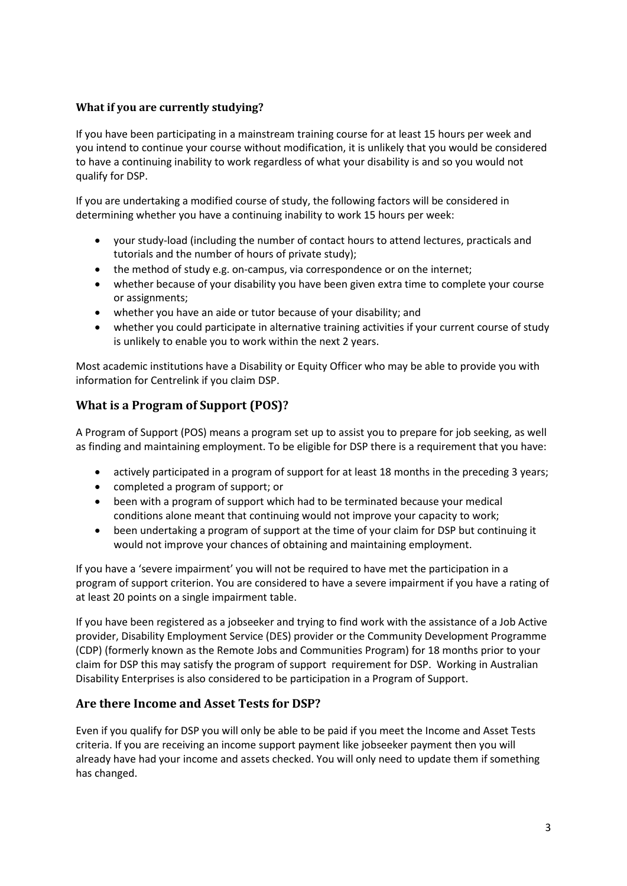## **What if you are currently studying?**

If you have been participating in a mainstream training course for at least 15 hours per week and you intend to continue your course without modification, it is unlikely that you would be considered to have a continuing inability to work regardless of what your disability is and so you would not qualify for DSP.

If you are undertaking a modified course of study, the following factors will be considered in determining whether you have a continuing inability to work 15 hours per week:

- your study-load (including the number of contact hours to attend lectures, practicals and tutorials and the number of hours of private study);
- the method of study e.g. on-campus, via correspondence or on the internet;
- whether because of your disability you have been given extra time to complete your course or assignments;
- whether you have an aide or tutor because of your disability; and
- whether you could participate in alternative training activities if your current course of study is unlikely to enable you to work within the next 2 years.

Most academic institutions have a Disability or Equity Officer who may be able to provide you with information for Centrelink if you claim DSP.

# **What is a Program of Support (POS)?**

A Program of Support (POS) means a program set up to assist you to prepare for job seeking, as well as finding and maintaining employment. To be eligible for DSP there is a requirement that you have:

- actively participated in a program of support for at least 18 months in the preceding 3 years;
- completed a program of support; or
- been with a program of support which had to be terminated because your medical conditions alone meant that continuing would not improve your capacity to work;
- been undertaking a program of support at the time of your claim for DSP but continuing it would not improve your chances of obtaining and maintaining employment.

If you have a 'severe impairment' you will not be required to have met the participation in a program of support criterion. You are considered to have a severe impairment if you have a rating of at least 20 points on a single impairment table.

If you have been registered as a jobseeker and trying to find work with the assistance of a Job Active provider, Disability Employment Service (DES) provider or the Community Development Programme (CDP) (formerly known as the Remote Jobs and Communities Program) for 18 months prior to your claim for DSP this may satisfy the program of support requirement for DSP. Working in Australian Disability Enterprises is also considered to be participation in a Program of Support.

## **Are there Income and Asset Tests for DSP?**

Even if you qualify for DSP you will only be able to be paid if you meet the Income and Asset Tests criteria. If you are receiving an income support payment like jobseeker payment then you will already have had your income and assets checked. You will only need to update them if something has changed.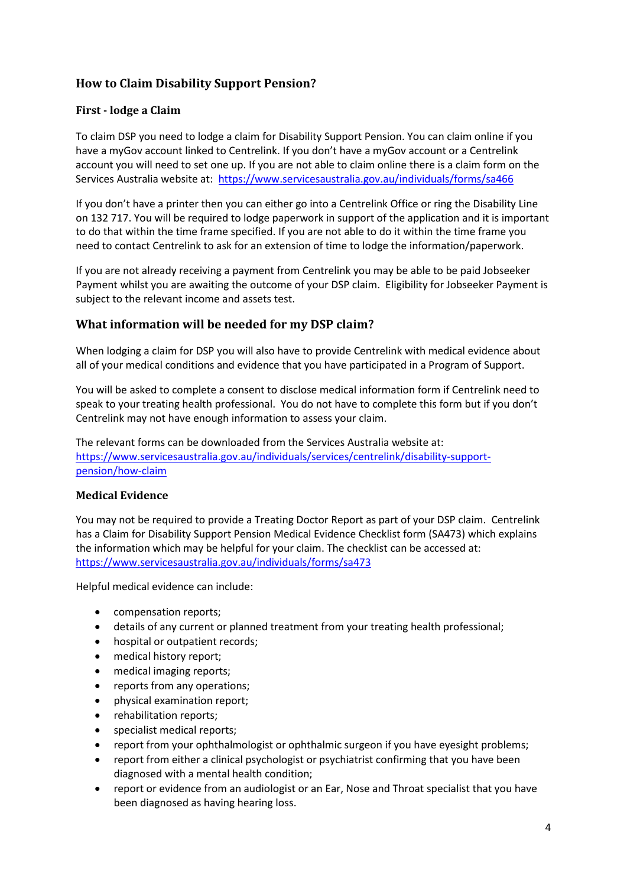# **How to Claim Disability Support Pension?**

#### **First - lodge a Claim**

To claim DSP you need to lodge a claim for Disability Support Pension. You can claim online if you have a myGov account linked to Centrelink. If you don't have a myGov account or a Centrelink account you will need to set one up. If you are not able to claim online there is a claim form on the Services Australia website at: <https://www.servicesaustralia.gov.au/individuals/forms/sa466>

If you don't have a printer then you can either go into a Centrelink Office or ring the Disability Line on 132 717. You will be required to lodge paperwork in support of the application and it is important to do that within the time frame specified. If you are not able to do it within the time frame you need to contact Centrelink to ask for an extension of time to lodge the information/paperwork.

If you are not already receiving a payment from Centrelink you may be able to be paid Jobseeker Payment whilst you are awaiting the outcome of your DSP claim. Eligibility for Jobseeker Payment is subject to the relevant income and assets test.

## **What information will be needed for my DSP claim?**

When lodging a claim for DSP you will also have to provide Centrelink with medical evidence about all of your medical conditions and evidence that you have participated in a Program of Support.

You will be asked to complete a consent to disclose medical information form if Centrelink need to speak to your treating health professional. You do not have to complete this form but if you don't Centrelink may not have enough information to assess your claim.

The relevant forms can be downloaded from the Services Australia website at: [https://www.servicesaustralia.gov.au/individuals/services/centrelink/disability-support](https://www.servicesaustralia.gov.au/individuals/services/centrelink/disability-support-pension/how-claim)[pension/how-claim](https://www.servicesaustralia.gov.au/individuals/services/centrelink/disability-support-pension/how-claim)

#### **Medical Evidence**

You may not be required to provide a Treating Doctor Report as part of your DSP claim. Centrelink has a Claim for Disability Support Pension Medical Evidence Checklist form (SA473) which explains the information which may be helpful for your claim. The checklist can be accessed at: <https://www.servicesaustralia.gov.au/individuals/forms/sa473>

Helpful medical evidence can include:

- compensation reports;
- details of any current or planned treatment from your treating health professional;
- hospital or outpatient records;
- medical history report;
- medical imaging reports;
- reports from any operations;
- physical examination report;
- rehabilitation reports;
- specialist medical reports;
- report from your ophthalmologist or ophthalmic surgeon if you have eyesight problems;
- report from either a clinical psychologist or psychiatrist confirming that you have been diagnosed with a mental health condition;
- report or evidence from an audiologist or an Ear, Nose and Throat specialist that you have been diagnosed as having hearing loss.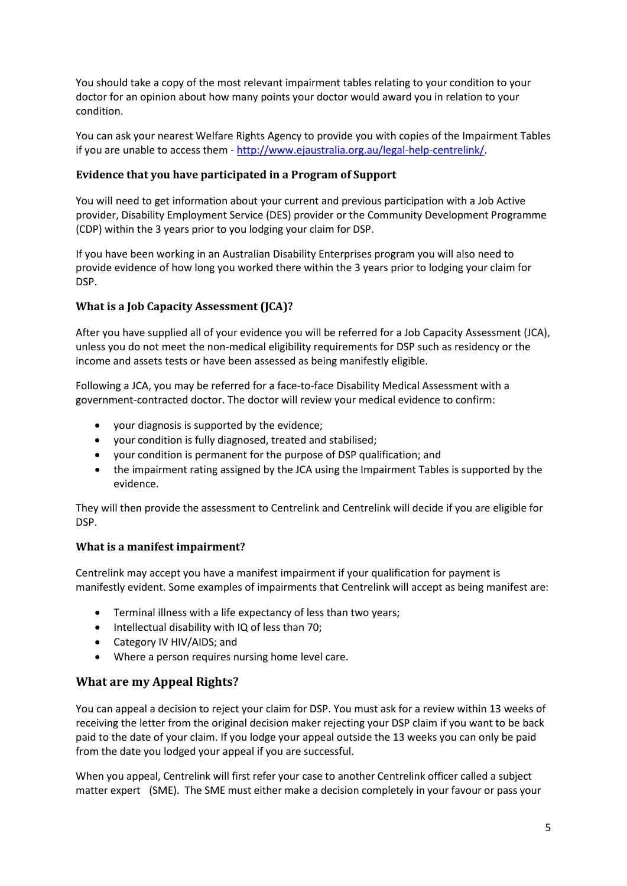You should take a copy of the most relevant impairment tables relating to your condition to your doctor for an opinion about how many points your doctor would award you in relation to your condition.

You can ask your nearest Welfare Rights Agency to provide you with copies of the Impairment Tables if you are unable to access them - [http://www.ejaustralia.org.au/legal-help-centrelink/.](http://www.ejaustralia.org.au/legal-help-centrelink/)

#### **Evidence that you have participated in a Program of Support**

You will need to get information about your current and previous participation with a Job Active provider, Disability Employment Service (DES) provider or the Community Development Programme (CDP) within the 3 years prior to you lodging your claim for DSP.

If you have been working in an Australian Disability Enterprises program you will also need to provide evidence of how long you worked there within the 3 years prior to lodging your claim for DSP.

#### **What is a Job Capacity Assessment (JCA)?**

After you have supplied all of your evidence you will be referred for a Job Capacity Assessment (JCA), unless you do not meet the non-medical eligibility requirements for DSP such as residency or the income and assets tests or have been assessed as being manifestly eligible.

Following a JCA, you may be referred for a face-to-face Disability Medical Assessment with a government-contracted doctor. The doctor will review your medical evidence to confirm:

- your diagnosis is supported by the evidence;
- your condition is fully diagnosed, treated and stabilised;
- your condition is permanent for the purpose of DSP qualification; and
- the impairment rating assigned by the JCA using the Impairment Tables is supported by the evidence.

They will then provide the assessment to Centrelink and Centrelink will decide if you are eligible for DSP.

#### **What is a manifest impairment?**

Centrelink may accept you have a manifest impairment if your qualification for payment is manifestly evident. Some examples of impairments that Centrelink will accept as being manifest are:

- Terminal illness with a life expectancy of less than two years;
- Intellectual disability with IQ of less than 70;
- Category IV HIV/AIDS; and
- Where a person requires nursing home level care.

## **What are my Appeal Rights?**

You can appeal a decision to reject your claim for DSP. You must ask for a review within 13 weeks of receiving the letter from the original decision maker rejecting your DSP claim if you want to be back paid to the date of your claim. If you lodge your appeal outside the 13 weeks you can only be paid from the date you lodged your appeal if you are successful.

When you appeal, Centrelink will first refer your case to another Centrelink officer called a subject matter expert (SME). The SME must either make a decision completely in your favour or pass your